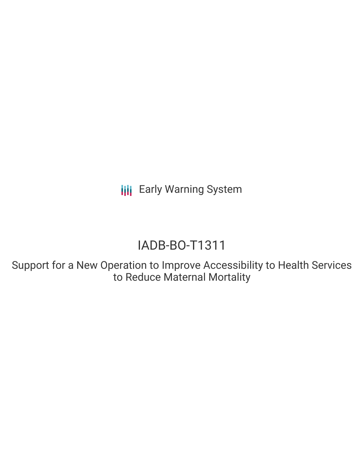**III** Early Warning System

# IADB-BO-T1311

Support for a New Operation to Improve Accessibility to Health Services to Reduce Maternal Mortality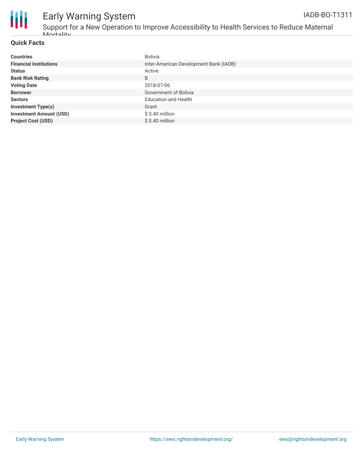

### Early Warning System Support for a New Operation to Improve Accessibility to Health Services to Reduce Maternal

| <b>Countries</b>               | Bolivia                                |
|--------------------------------|----------------------------------------|
| <b>Financial Institutions</b>  | Inter-American Development Bank (IADB) |
| <b>Status</b>                  | Active                                 |
| <b>Bank Risk Rating</b>        | B                                      |
| <b>Voting Date</b>             | 2018-07-06                             |
| <b>Borrower</b>                | Government of Bolivia                  |
| <b>Sectors</b>                 | <b>Education and Health</b>            |
| <b>Investment Type(s)</b>      | Grant                                  |
| <b>Investment Amount (USD)</b> | $$0.40$ million                        |
| <b>Project Cost (USD)</b>      | \$ 0.40 million                        |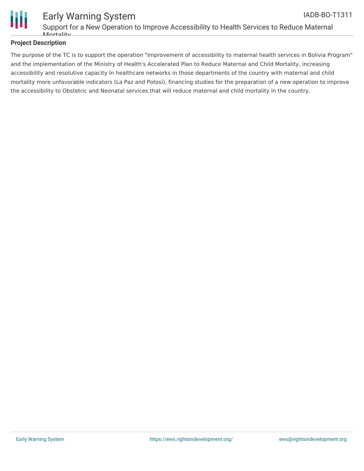

#### **Project Description**

The purpose of the TC is to support the operation "Improvement of accessibility to maternal health services in Bolivia Program" and the implementation of the Ministry of Health's Accelerated Plan to Reduce Maternal and Child Mortality, increasing accessibility and resolutive capacity In healthcare networks in those departments of the country with maternal and child mortality more unfavorable indicators (La Paz and Potosí), financing studies for the preparation of a new operation to improve the accessibility to Obstetric and Neonatal services that will reduce maternal and child mortality in the country.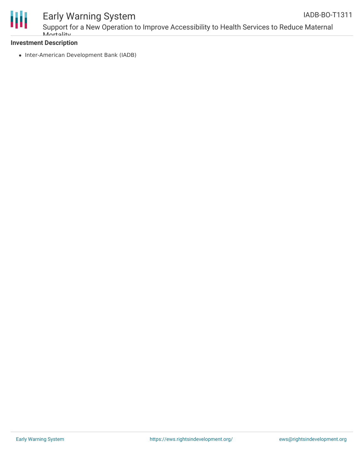

## Early Warning System

Support for a New Operation to Improve Accessibility to Health Services to Reduce Maternal Mortality

#### **Investment Description**

• Inter-American Development Bank (IADB)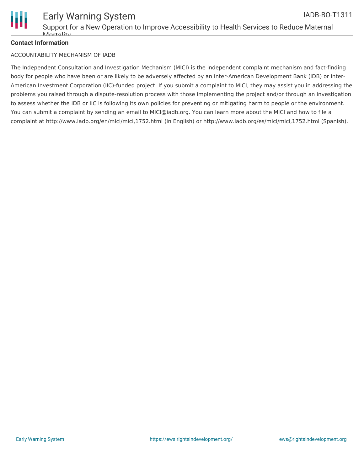

#### **Contact Information**

#### ACCOUNTABILITY MECHANISM OF IADB

The Independent Consultation and Investigation Mechanism (MICI) is the independent complaint mechanism and fact-finding body for people who have been or are likely to be adversely affected by an Inter-American Development Bank (IDB) or Inter-American Investment Corporation (IIC)-funded project. If you submit a complaint to MICI, they may assist you in addressing the problems you raised through a dispute-resolution process with those implementing the project and/or through an investigation to assess whether the IDB or IIC is following its own policies for preventing or mitigating harm to people or the environment. You can submit a complaint by sending an email to MICI@iadb.org. You can learn more about the MICI and how to file a complaint at http://www.iadb.org/en/mici/mici,1752.html (in English) or http://www.iadb.org/es/mici/mici,1752.html (Spanish).